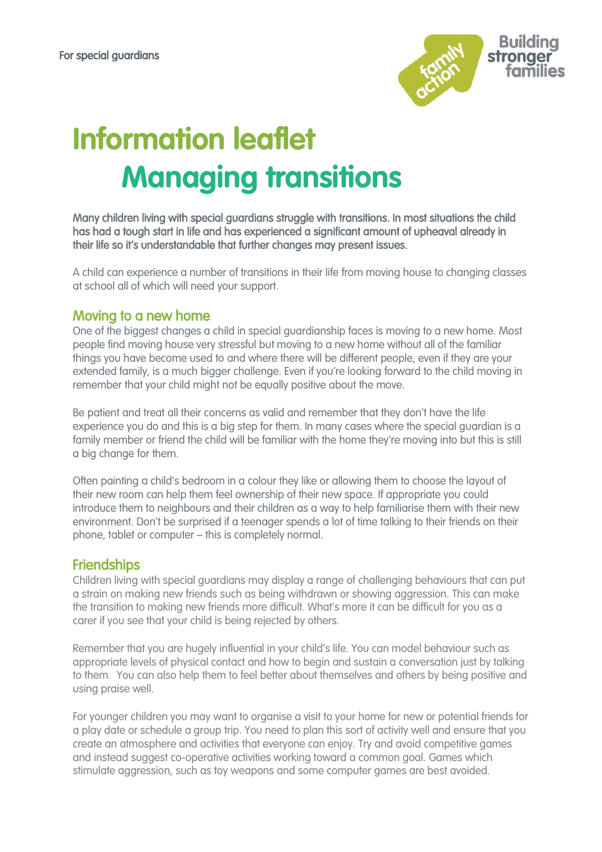

# **Information leaflet Managing transitions**

Many children living with special guardians struggle with transitions. In most situations the child has had a tough start in life and has experienced a significant amount of upheaval already in their life so it's understandable that further changes may present issues.

A child can experience a number of transitions in their life from moving house to changing classes at school all of which will need your support.

#### Moving to a new home

One of the biggest changes a child in special guardianship faces is moving to a new home. Most people find moving house very stressful but moving to a new home without all of the familiar things you have become used to and where there will be different people, even if they are your extended family, is a much bigger challenge. Even if you're looking forward to the child moving in remember that your child might not be equally positive about the move.

Be patient and treat all their concerns as valid and remember that they don't have the life experience you do and this is a big step for them. In many cases where the special guardian is a family member or friend the child will be familiar with the home they're moving into but this is still a big change for them.

Often painting a child's bedroom in a colour they like or allowing them to choose the layout of their new room can help them feel ownership of their new space. If appropriate you could introduce them to neighbours and their children as a way to help familiarise them with their new environment. Don't be surprised if a teenager spends a lot of time talking to their friends on their phone, tablet or computer – this is completely normal.

#### **Friendships**

Children living with special guardians may display a range of [challenging behaviours](https://www.specialguardiansupport.org.uk/managing-challenging-behaviour/) that can put a strain on making new friends such as being withdrawn or showing aggression. This can make the transition to making new friends more difficult. What's more it can be difficult for you as a carer if you see that your child is being rejected by others.

Remember that you are hugely influential in your child's life. You can model behaviour such as appropriate levels of physical contact and how to begin and sustain a conversation just by talking to them. You can also help them to feel better about themselves and others by being positive and using praise well.

For younger children you may want to organise a visit to your home for new or potential friends for a play date or schedule a group trip. You need to plan this sort of activity well and ensure that you create an atmosphere and activities that everyone can enjoy. Try and avoid competitive games and instead suggest co-operative activities working toward a common goal. Games which stimulate aggression, such as toy weapons and some computer games are best avoided.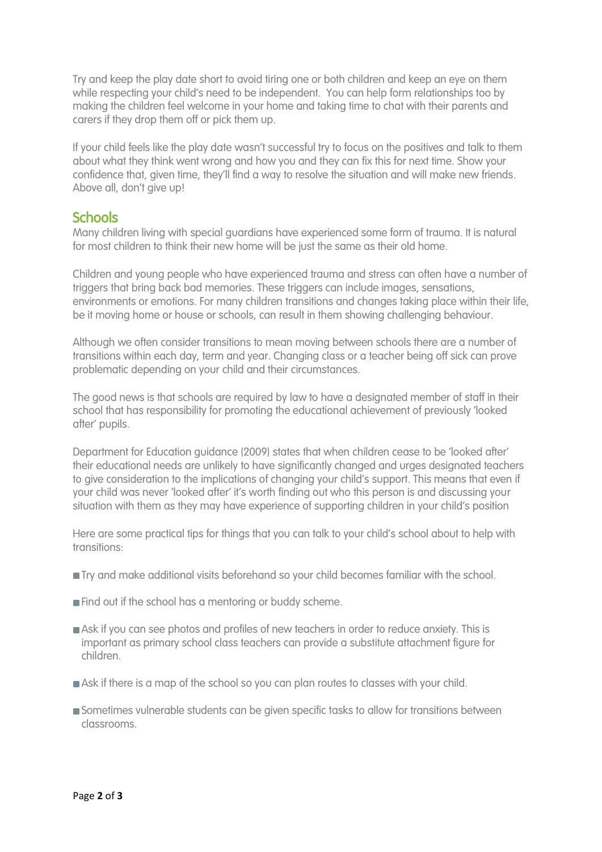Try and keep the play date short to avoid tiring one or both children and keep an eye on them while respecting your child's need to be independent. You can help form relationships too by making the children feel welcome in your home and taking time to chat with their parents and carers if they drop them off or pick them up.

If your child feels like the play date wasn't successful try to focus on the positives and talk to them about what they think went wrong and how you and they can fix this for next time. Show your confidence that, given time, they'll find a way to resolve the situation and will make new friends. Above all, don't give up!

### **Schools**

Many children living with special guardians have experienced some form of trauma. It is natural for most children to think their new home will be just the same as their old home.

Children and young people who have experienced trauma and stress can often have a number of triggers that bring back bad memories. These triggers can include images, sensations, environments or emotions. For many children transitions and changes taking place within their life, be it moving home or house or schools, can result in them showing challenging behaviour.

Although we often consider transitions to mean moving between schools there are a number of transitions within each day, term and year. Changing class or a teacher being off sick can prove problematic depending on your child and their circumstances.

The good news is that schools are required by law to have a designated member of staff in their school that has responsibility for promoting the educational achievement of previously 'looked after' pupils.

Department for Education guidance (2009) states that when children cease to be 'looked after' their educational needs are unlikely to have significantly changed and urges designated teachers to give consideration to the implications of changing your child's support. This means that even if your child was never 'looked after' it's worth finding out who this person is and discussing your situation with them as they may have experience of supporting children in your child's position

Here are some practical tips for things that you can talk to your child's school about to help with transitions:

- **Try and make additional visits beforehand so your child becomes familiar with the school.**
- **Find out if the school has a mentoring or buddy scheme.**
- Ask if you can see photos and profiles of new teachers in order to reduce anxiety. This is important as primary school class teachers can provide a substitute attachment figure for children.
- Ask if there is a map of the school so you can plan routes to classes with your child.
- Sometimes vulnerable students can be given specific tasks to allow for transitions between classrooms.